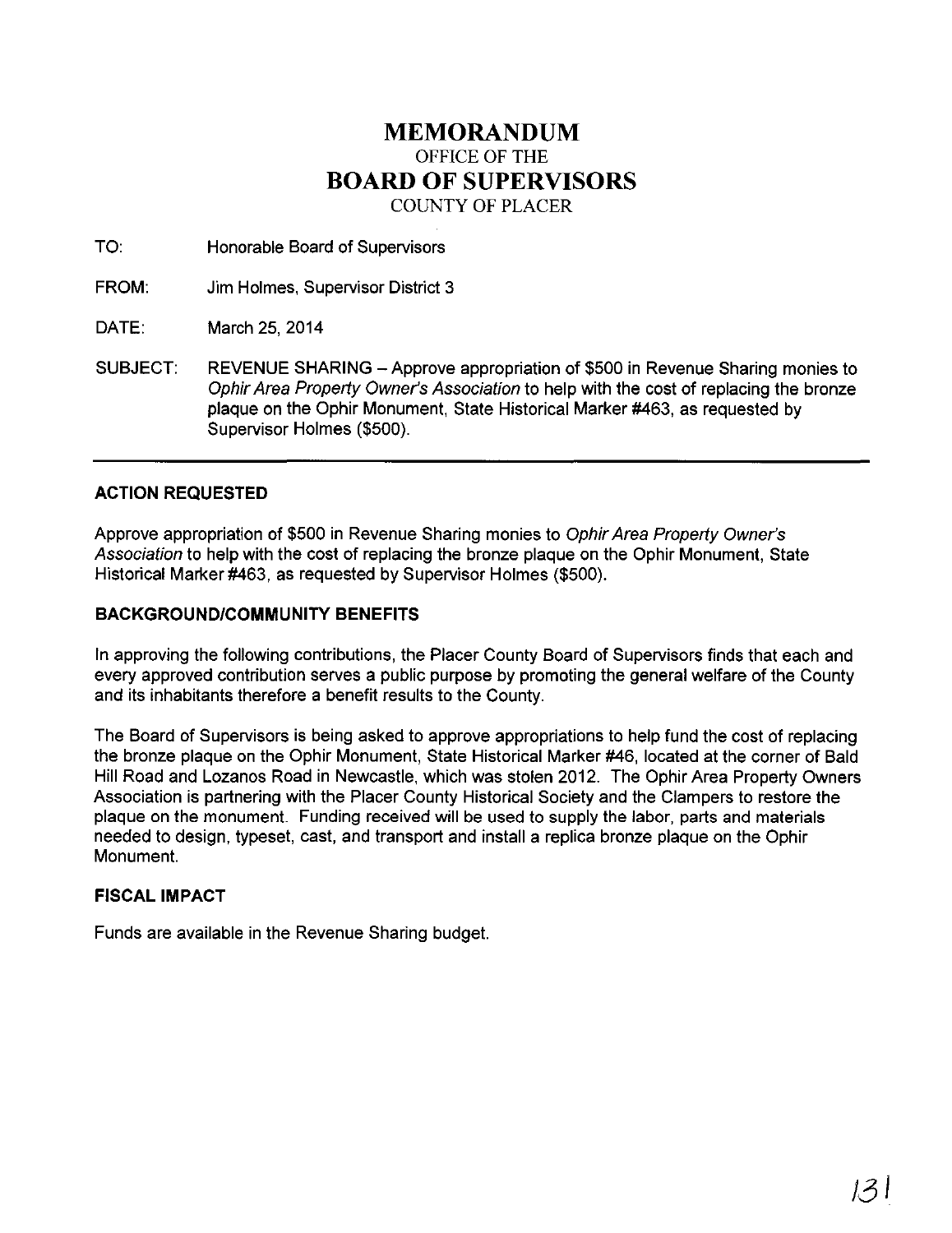## **MEMORANDUM**  OFFICE OF THE **BOARD OF SUPERVISORS**  COUNTY OF PLACER

TO: Honorable Board of Supervisors

FROM: Jim Holmes, Supervisor District 3

DATE: March 25, 2014

SUBJECT: REVENUE SHARING - Approve appropriation of \$500 in Revenue Sharing monies to Ophir Area Property Owner's Association to help with the cost of replacing the bronze plaque on the Ophir Monument, State Historical Marker #463, as requested by Supervisor Holmes (\$500).

## **ACTION REQUESTED**

Approve appropriation of \$500 in Revenue Sharing monies to Ophir Area Property Owner's Association to help with the cost of replacing the bronze plaque on the Ophir Monument, State Historical Marker #463, as requested by Supervisor Holmes (\$500).

## **BACKGROUND/COMMUNITY BENEFITS**

In approving the following contributions, the Placer County Board of Supervisors finds that each and every approved contribution serves a public purpose by promoting the general welfare of the County and its inhabitants therefore a benefit results to the County.

The Board of Supervisors is being asked to approve appropriations to help fund the cost of replacing the bronze plaque on the Ophir Monument, State Historical Marker #46, located at the corner of Bald Hill Road and Lozanos Road in Newcastle, which was stolen 2012. The Ophir Area Property Owners Association is partnering with the Placer County Historical Society and the Clampers to restore the plaque on the monument. Funding received will be used to supply the labor, parts and materials needed to design, typeset, cast, and transport and install a replica bronze plaque on the Ophir Monument.

## **FISCAL IMPACT**

Funds are available in the Revenue Sharing budget.